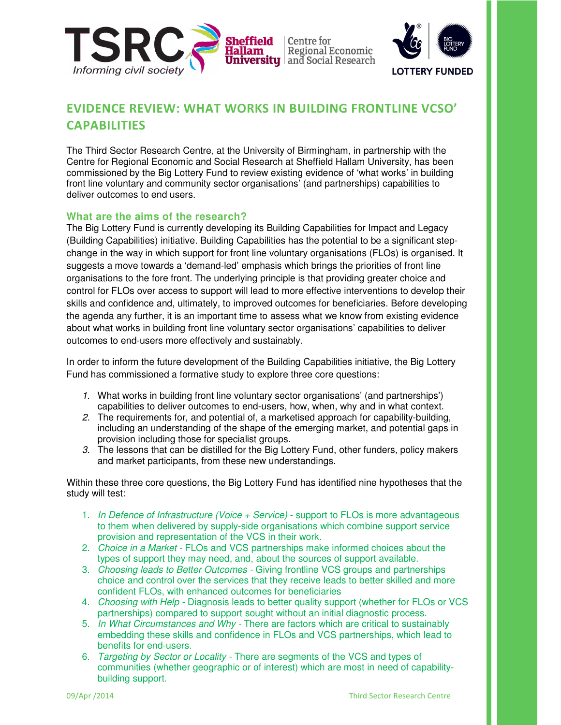



# EVIDENCE REVIEW: WHAT WORKS IN BUILDING FRONTLINE VCSO' CAPABILITIES

The Third Sector Research Centre, at the University of Birmingham, in partnership with the Centre for Regional Economic and Social Research at Sheffield Hallam University, has been commissioned by the Big Lottery Fund to review existing evidence of 'what works' in building front line voluntary and community sector organisations' (and partnerships) capabilities to deliver outcomes to end users.

# **What are the aims of the research?**

The Big Lottery Fund is currently developing its Building Capabilities for Impact and Legacy (Building Capabilities) initiative. Building Capabilities has the potential to be a significant stepchange in the way in which support for front line voluntary organisations (FLOs) is organised. It suggests a move towards a 'demand-led' emphasis which brings the priorities of front line organisations to the fore front. The underlying principle is that providing greater choice and control for FLOs over access to support will lead to more effective interventions to develop their skills and confidence and, ultimately, to improved outcomes for beneficiaries. Before developing the agenda any further, it is an important time to assess what we know from existing evidence about what works in building front line voluntary sector organisations' capabilities to deliver outcomes to end-users more effectively and sustainably.

In order to inform the future development of the Building Capabilities initiative, the Big Lottery Fund has commissioned a formative study to explore three core questions:

- 1. What works in building front line voluntary sector organisations' (and partnerships') capabilities to deliver outcomes to end-users, how, when, why and in what context.
- 2. The requirements for, and potential of, a marketised approach for capability-building, including an understanding of the shape of the emerging market, and potential gaps in provision including those for specialist groups.
- 3. The lessons that can be distilled for the Big Lottery Fund, other funders, policy makers and market participants, from these new understandings.

Within these three core questions, the Big Lottery Fund has identified nine hypotheses that the study will test:

- 1. In Defence of Infrastructure (Voice  $+$  Service) support to FLOs is more advantageous to them when delivered by supply-side organisations which combine support service provision and representation of the VCS in their work.
- 2. Choice in a Market FLOs and VCS partnerships make informed choices about the types of support they may need, and, about the sources of support available.
- 3. Choosing leads to Better Outcomes Giving frontline VCS groups and partnerships choice and control over the services that they receive leads to better skilled and more confident FLOs, with enhanced outcomes for beneficiaries
- 4. Choosing with Help Diagnosis leads to better quality support (whether for FLOs or VCS partnerships) compared to support sought without an initial diagnostic process.
- 5. In What Circumstances and Why There are factors which are critical to sustainably embedding these skills and confidence in FLOs and VCS partnerships, which lead to benefits for end-users.
- 6. Targeting by Sector or Locality There are segments of the VCS and types of communities (whether geographic or of interest) which are most in need of capabilitybuilding support.